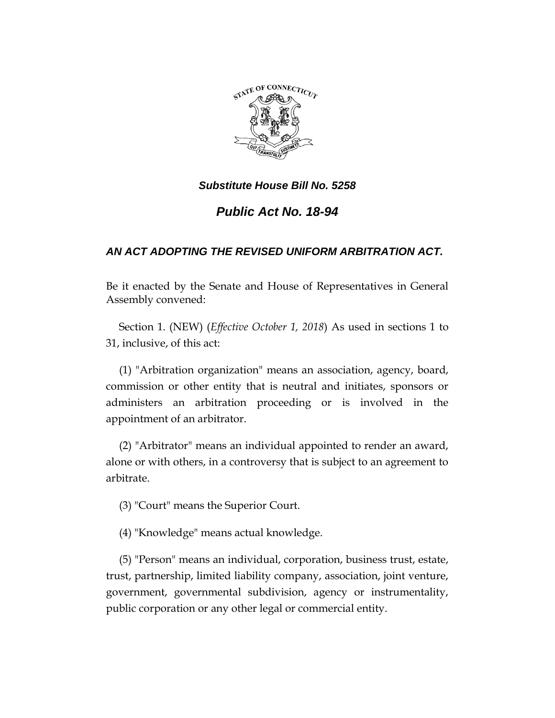

# *Public Act No. 18-94*

# *AN ACT ADOPTING THE REVISED UNIFORM ARBITRATION ACT.*

Be it enacted by the Senate and House of Representatives in General Assembly convened:

Section 1. (NEW) (*Effective October 1, 2018*) As used in sections 1 to 31, inclusive, of this act:

(1) "Arbitration organization" means an association, agency, board, commission or other entity that is neutral and initiates, sponsors or administers an arbitration proceeding or is involved in the appointment of an arbitrator.

(2) "Arbitrator" means an individual appointed to render an award, alone or with others, in a controversy that is subject to an agreement to arbitrate.

(3) "Court" means the Superior Court.

(4) "Knowledge" means actual knowledge.

(5) "Person" means an individual, corporation, business trust, estate, trust, partnership, limited liability company, association, joint venture, government, governmental subdivision, agency or instrumentality, public corporation or any other legal or commercial entity.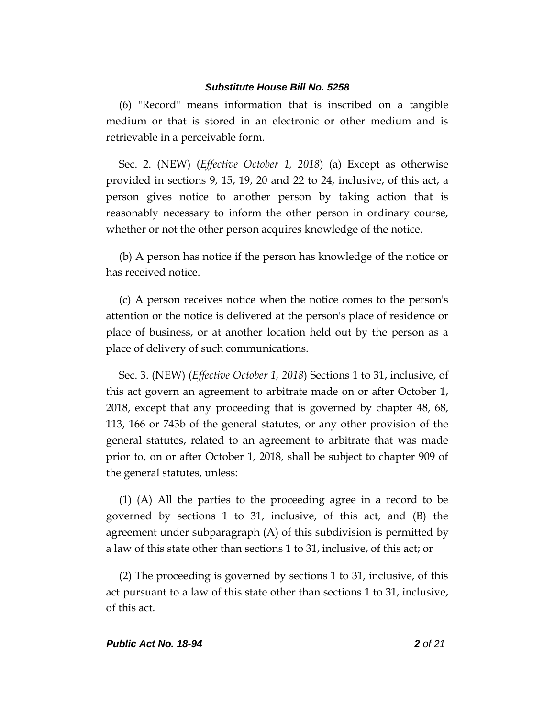(6) "Record" means information that is inscribed on a tangible medium or that is stored in an electronic or other medium and is retrievable in a perceivable form.

Sec. 2. (NEW) (*Effective October 1, 2018*) (a) Except as otherwise provided in sections 9, 15, 19, 20 and 22 to 24, inclusive, of this act, a person gives notice to another person by taking action that is reasonably necessary to inform the other person in ordinary course, whether or not the other person acquires knowledge of the notice.

(b) A person has notice if the person has knowledge of the notice or has received notice.

(c) A person receives notice when the notice comes to the person's attention or the notice is delivered at the person's place of residence or place of business, or at another location held out by the person as a place of delivery of such communications.

Sec. 3. (NEW) (*Effective October 1, 2018*) Sections 1 to 31, inclusive, of this act govern an agreement to arbitrate made on or after October 1, 2018, except that any proceeding that is governed by chapter 48, 68, 113, 166 or 743b of the general statutes, or any other provision of the general statutes, related to an agreement to arbitrate that was made prior to, on or after October 1, 2018, shall be subject to chapter 909 of the general statutes, unless:

(1) (A) All the parties to the proceeding agree in a record to be governed by sections 1 to 31, inclusive, of this act, and (B) the agreement under subparagraph (A) of this subdivision is permitted by a law of this state other than sections 1 to 31, inclusive, of this act; or

(2) The proceeding is governed by sections 1 to 31, inclusive, of this act pursuant to a law of this state other than sections 1 to 31, inclusive, of this act.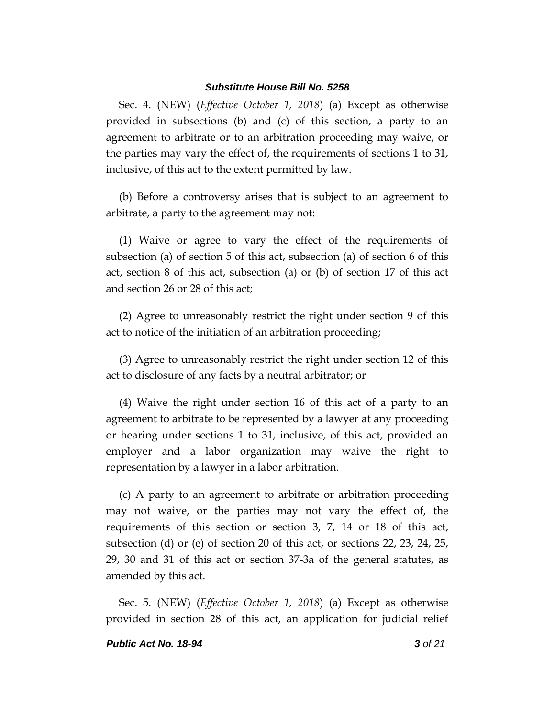Sec. 4. (NEW) (*Effective October 1, 2018*) (a) Except as otherwise provided in subsections (b) and (c) of this section, a party to an agreement to arbitrate or to an arbitration proceeding may waive, or the parties may vary the effect of, the requirements of sections 1 to 31, inclusive, of this act to the extent permitted by law.

(b) Before a controversy arises that is subject to an agreement to arbitrate, a party to the agreement may not:

(1) Waive or agree to vary the effect of the requirements of subsection (a) of section 5 of this act, subsection (a) of section 6 of this act, section 8 of this act, subsection (a) or (b) of section 17 of this act and section 26 or 28 of this act;

(2) Agree to unreasonably restrict the right under section 9 of this act to notice of the initiation of an arbitration proceeding;

(3) Agree to unreasonably restrict the right under section 12 of this act to disclosure of any facts by a neutral arbitrator; or

(4) Waive the right under section 16 of this act of a party to an agreement to arbitrate to be represented by a lawyer at any proceeding or hearing under sections 1 to 31, inclusive, of this act, provided an employer and a labor organization may waive the right to representation by a lawyer in a labor arbitration.

(c) A party to an agreement to arbitrate or arbitration proceeding may not waive, or the parties may not vary the effect of, the requirements of this section or section 3, 7, 14 or 18 of this act, subsection (d) or (e) of section 20 of this act, or sections 22, 23, 24, 25, 29, 30 and 31 of this act or section 37-3a of the general statutes, as amended by this act.

Sec. 5. (NEW) (*Effective October 1, 2018*) (a) Except as otherwise provided in section 28 of this act, an application for judicial relief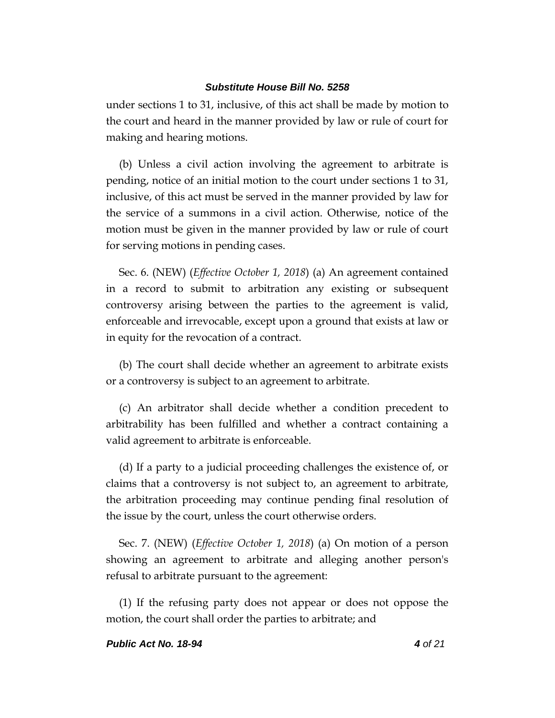under sections 1 to 31, inclusive, of this act shall be made by motion to the court and heard in the manner provided by law or rule of court for making and hearing motions.

(b) Unless a civil action involving the agreement to arbitrate is pending, notice of an initial motion to the court under sections 1 to 31, inclusive, of this act must be served in the manner provided by law for the service of a summons in a civil action. Otherwise, notice of the motion must be given in the manner provided by law or rule of court for serving motions in pending cases.

Sec. 6. (NEW) (*Effective October 1, 2018*) (a) An agreement contained in a record to submit to arbitration any existing or subsequent controversy arising between the parties to the agreement is valid, enforceable and irrevocable, except upon a ground that exists at law or in equity for the revocation of a contract.

(b) The court shall decide whether an agreement to arbitrate exists or a controversy is subject to an agreement to arbitrate.

(c) An arbitrator shall decide whether a condition precedent to arbitrability has been fulfilled and whether a contract containing a valid agreement to arbitrate is enforceable.

(d) If a party to a judicial proceeding challenges the existence of, or claims that a controversy is not subject to, an agreement to arbitrate, the arbitration proceeding may continue pending final resolution of the issue by the court, unless the court otherwise orders.

Sec. 7. (NEW) (*Effective October 1, 2018*) (a) On motion of a person showing an agreement to arbitrate and alleging another person's refusal to arbitrate pursuant to the agreement:

(1) If the refusing party does not appear or does not oppose the motion, the court shall order the parties to arbitrate; and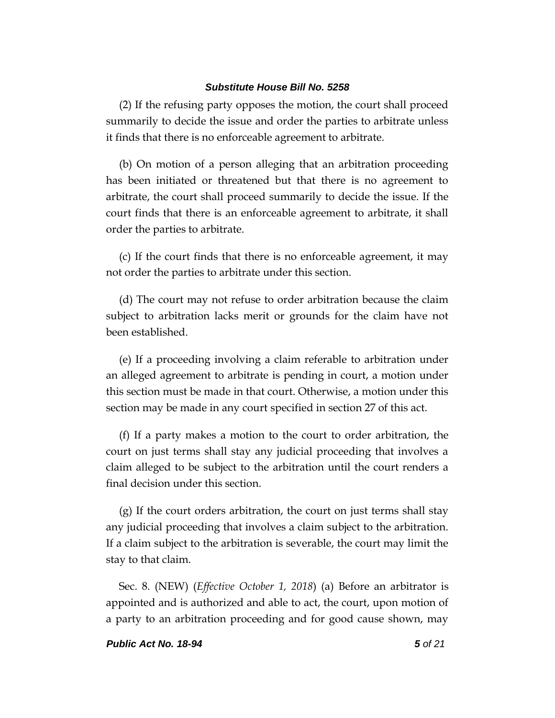(2) If the refusing party opposes the motion, the court shall proceed summarily to decide the issue and order the parties to arbitrate unless it finds that there is no enforceable agreement to arbitrate.

(b) On motion of a person alleging that an arbitration proceeding has been initiated or threatened but that there is no agreement to arbitrate, the court shall proceed summarily to decide the issue. If the court finds that there is an enforceable agreement to arbitrate, it shall order the parties to arbitrate.

(c) If the court finds that there is no enforceable agreement, it may not order the parties to arbitrate under this section.

(d) The court may not refuse to order arbitration because the claim subject to arbitration lacks merit or grounds for the claim have not been established.

(e) If a proceeding involving a claim referable to arbitration under an alleged agreement to arbitrate is pending in court, a motion under this section must be made in that court. Otherwise, a motion under this section may be made in any court specified in section 27 of this act.

(f) If a party makes a motion to the court to order arbitration, the court on just terms shall stay any judicial proceeding that involves a claim alleged to be subject to the arbitration until the court renders a final decision under this section.

(g) If the court orders arbitration, the court on just terms shall stay any judicial proceeding that involves a claim subject to the arbitration. If a claim subject to the arbitration is severable, the court may limit the stay to that claim.

Sec. 8. (NEW) (*Effective October 1, 2018*) (a) Before an arbitrator is appointed and is authorized and able to act, the court, upon motion of a party to an arbitration proceeding and for good cause shown, may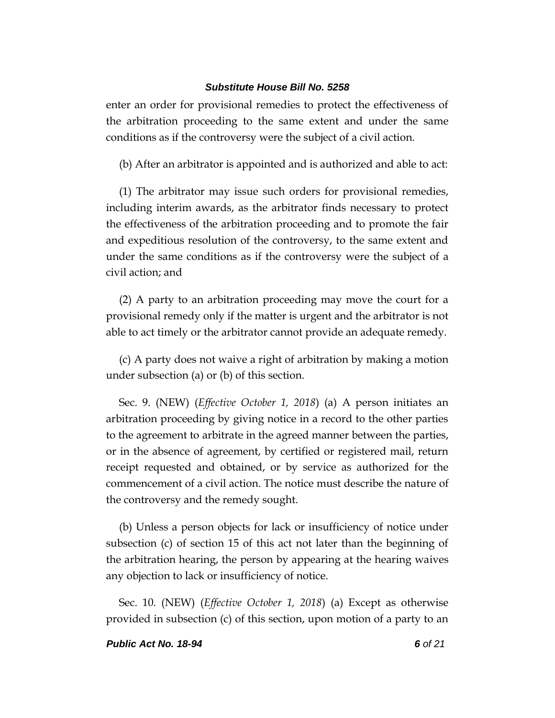enter an order for provisional remedies to protect the effectiveness of the arbitration proceeding to the same extent and under the same conditions as if the controversy were the subject of a civil action.

(b) After an arbitrator is appointed and is authorized and able to act:

(1) The arbitrator may issue such orders for provisional remedies, including interim awards, as the arbitrator finds necessary to protect the effectiveness of the arbitration proceeding and to promote the fair and expeditious resolution of the controversy, to the same extent and under the same conditions as if the controversy were the subject of a civil action; and

(2) A party to an arbitration proceeding may move the court for a provisional remedy only if the matter is urgent and the arbitrator is not able to act timely or the arbitrator cannot provide an adequate remedy.

(c) A party does not waive a right of arbitration by making a motion under subsection (a) or (b) of this section.

Sec. 9. (NEW) (*Effective October 1, 2018*) (a) A person initiates an arbitration proceeding by giving notice in a record to the other parties to the agreement to arbitrate in the agreed manner between the parties, or in the absence of agreement, by certified or registered mail, return receipt requested and obtained, or by service as authorized for the commencement of a civil action. The notice must describe the nature of the controversy and the remedy sought.

(b) Unless a person objects for lack or insufficiency of notice under subsection (c) of section 15 of this act not later than the beginning of the arbitration hearing, the person by appearing at the hearing waives any objection to lack or insufficiency of notice.

Sec. 10. (NEW) (*Effective October 1, 2018*) (a) Except as otherwise provided in subsection (c) of this section, upon motion of a party to an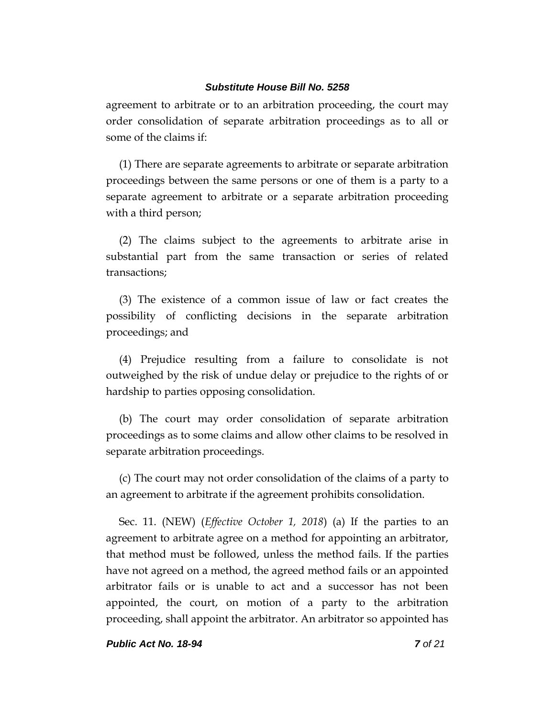agreement to arbitrate or to an arbitration proceeding, the court may order consolidation of separate arbitration proceedings as to all or some of the claims if:

(1) There are separate agreements to arbitrate or separate arbitration proceedings between the same persons or one of them is a party to a separate agreement to arbitrate or a separate arbitration proceeding with a third person;

(2) The claims subject to the agreements to arbitrate arise in substantial part from the same transaction or series of related transactions;

(3) The existence of a common issue of law or fact creates the possibility of conflicting decisions in the separate arbitration proceedings; and

(4) Prejudice resulting from a failure to consolidate is not outweighed by the risk of undue delay or prejudice to the rights of or hardship to parties opposing consolidation.

(b) The court may order consolidation of separate arbitration proceedings as to some claims and allow other claims to be resolved in separate arbitration proceedings.

(c) The court may not order consolidation of the claims of a party to an agreement to arbitrate if the agreement prohibits consolidation.

Sec. 11. (NEW) (*Effective October 1, 2018*) (a) If the parties to an agreement to arbitrate agree on a method for appointing an arbitrator, that method must be followed, unless the method fails. If the parties have not agreed on a method, the agreed method fails or an appointed arbitrator fails or is unable to act and a successor has not been appointed, the court, on motion of a party to the arbitration proceeding, shall appoint the arbitrator. An arbitrator so appointed has

#### *Public Act No. 18-94 7 of 21*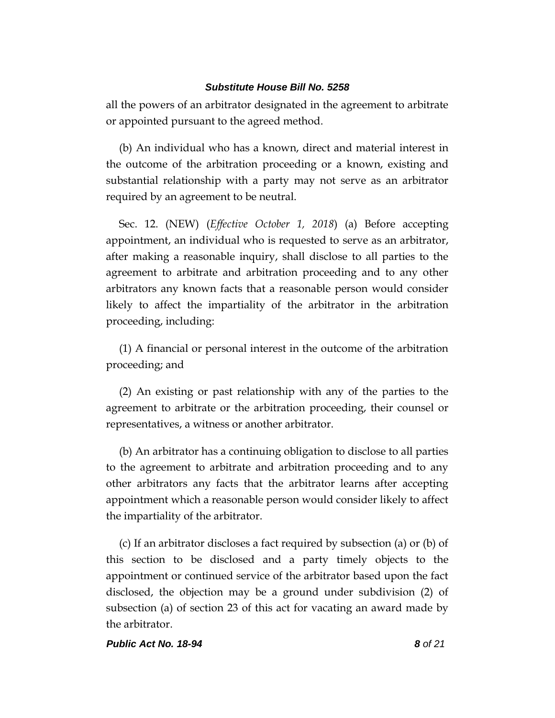all the powers of an arbitrator designated in the agreement to arbitrate or appointed pursuant to the agreed method.

(b) An individual who has a known, direct and material interest in the outcome of the arbitration proceeding or a known, existing and substantial relationship with a party may not serve as an arbitrator required by an agreement to be neutral.

Sec. 12. (NEW) (*Effective October 1, 2018*) (a) Before accepting appointment, an individual who is requested to serve as an arbitrator, after making a reasonable inquiry, shall disclose to all parties to the agreement to arbitrate and arbitration proceeding and to any other arbitrators any known facts that a reasonable person would consider likely to affect the impartiality of the arbitrator in the arbitration proceeding, including:

(1) A financial or personal interest in the outcome of the arbitration proceeding; and

(2) An existing or past relationship with any of the parties to the agreement to arbitrate or the arbitration proceeding, their counsel or representatives, a witness or another arbitrator.

(b) An arbitrator has a continuing obligation to disclose to all parties to the agreement to arbitrate and arbitration proceeding and to any other arbitrators any facts that the arbitrator learns after accepting appointment which a reasonable person would consider likely to affect the impartiality of the arbitrator.

(c) If an arbitrator discloses a fact required by subsection (a) or (b) of this section to be disclosed and a party timely objects to the appointment or continued service of the arbitrator based upon the fact disclosed, the objection may be a ground under subdivision (2) of subsection (a) of section 23 of this act for vacating an award made by the arbitrator.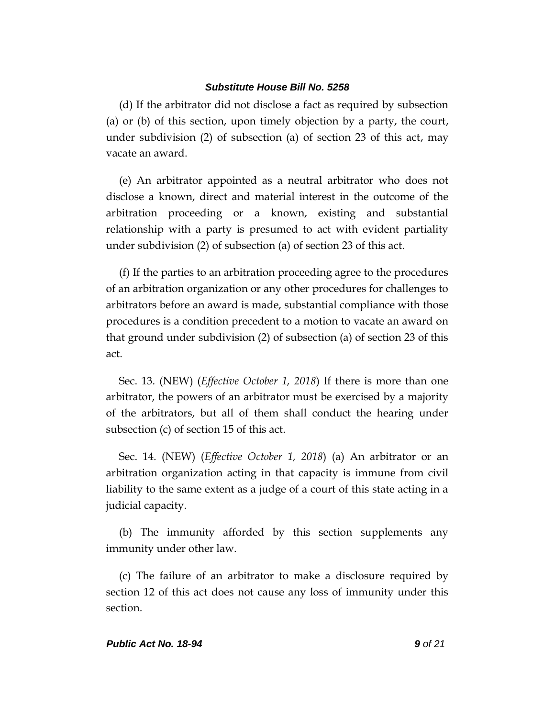(d) If the arbitrator did not disclose a fact as required by subsection (a) or (b) of this section, upon timely objection by a party, the court, under subdivision (2) of subsection (a) of section 23 of this act, may vacate an award.

(e) An arbitrator appointed as a neutral arbitrator who does not disclose a known, direct and material interest in the outcome of the arbitration proceeding or a known, existing and substantial relationship with a party is presumed to act with evident partiality under subdivision (2) of subsection (a) of section 23 of this act.

(f) If the parties to an arbitration proceeding agree to the procedures of an arbitration organization or any other procedures for challenges to arbitrators before an award is made, substantial compliance with those procedures is a condition precedent to a motion to vacate an award on that ground under subdivision (2) of subsection (a) of section 23 of this act.

Sec. 13. (NEW) (*Effective October 1, 2018*) If there is more than one arbitrator, the powers of an arbitrator must be exercised by a majority of the arbitrators, but all of them shall conduct the hearing under subsection (c) of section 15 of this act.

Sec. 14. (NEW) (*Effective October 1, 2018*) (a) An arbitrator or an arbitration organization acting in that capacity is immune from civil liability to the same extent as a judge of a court of this state acting in a judicial capacity.

(b) The immunity afforded by this section supplements any immunity under other law.

(c) The failure of an arbitrator to make a disclosure required by section 12 of this act does not cause any loss of immunity under this section.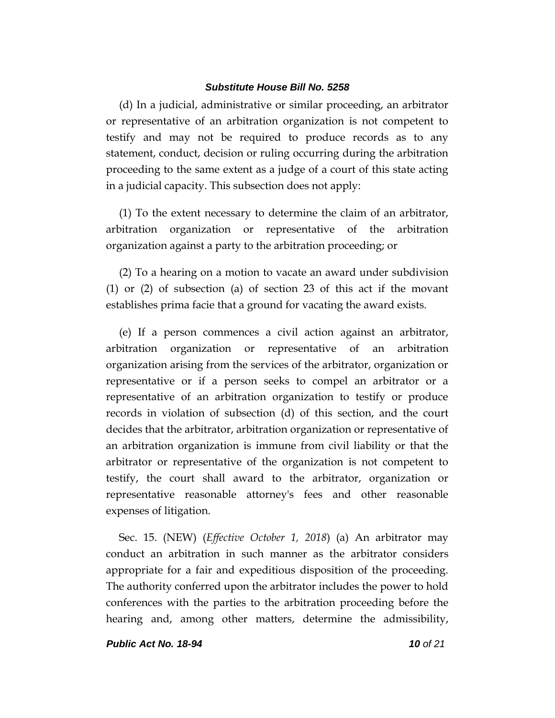(d) In a judicial, administrative or similar proceeding, an arbitrator or representative of an arbitration organization is not competent to testify and may not be required to produce records as to any statement, conduct, decision or ruling occurring during the arbitration proceeding to the same extent as a judge of a court of this state acting in a judicial capacity. This subsection does not apply:

(1) To the extent necessary to determine the claim of an arbitrator, arbitration organization or representative of the arbitration organization against a party to the arbitration proceeding; or

(2) To a hearing on a motion to vacate an award under subdivision (1) or (2) of subsection (a) of section 23 of this act if the movant establishes prima facie that a ground for vacating the award exists.

(e) If a person commences a civil action against an arbitrator, arbitration organization or representative of an arbitration organization arising from the services of the arbitrator, organization or representative or if a person seeks to compel an arbitrator or a representative of an arbitration organization to testify or produce records in violation of subsection (d) of this section, and the court decides that the arbitrator, arbitration organization or representative of an arbitration organization is immune from civil liability or that the arbitrator or representative of the organization is not competent to testify, the court shall award to the arbitrator, organization or representative reasonable attorney's fees and other reasonable expenses of litigation.

Sec. 15. (NEW) (*Effective October 1, 2018*) (a) An arbitrator may conduct an arbitration in such manner as the arbitrator considers appropriate for a fair and expeditious disposition of the proceeding. The authority conferred upon the arbitrator includes the power to hold conferences with the parties to the arbitration proceeding before the hearing and, among other matters, determine the admissibility,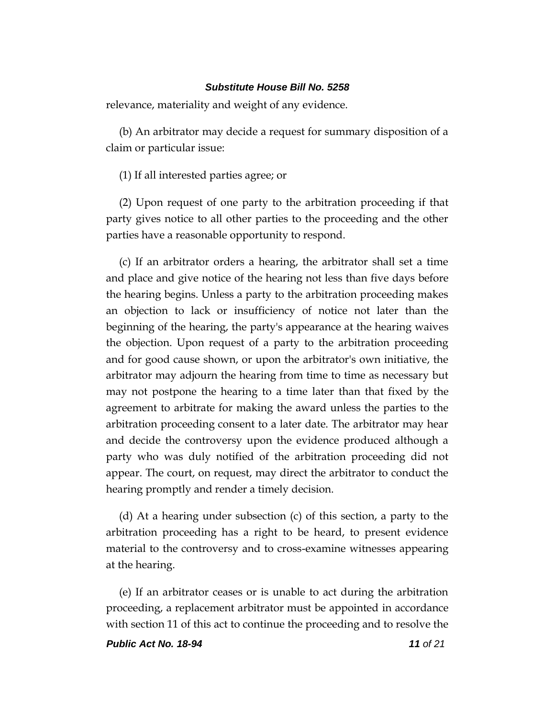relevance, materiality and weight of any evidence.

(b) An arbitrator may decide a request for summary disposition of a claim or particular issue:

(1) If all interested parties agree; or

(2) Upon request of one party to the arbitration proceeding if that party gives notice to all other parties to the proceeding and the other parties have a reasonable opportunity to respond.

(c) If an arbitrator orders a hearing, the arbitrator shall set a time and place and give notice of the hearing not less than five days before the hearing begins. Unless a party to the arbitration proceeding makes an objection to lack or insufficiency of notice not later than the beginning of the hearing, the party's appearance at the hearing waives the objection. Upon request of a party to the arbitration proceeding and for good cause shown, or upon the arbitrator's own initiative, the arbitrator may adjourn the hearing from time to time as necessary but may not postpone the hearing to a time later than that fixed by the agreement to arbitrate for making the award unless the parties to the arbitration proceeding consent to a later date. The arbitrator may hear and decide the controversy upon the evidence produced although a party who was duly notified of the arbitration proceeding did not appear. The court, on request, may direct the arbitrator to conduct the hearing promptly and render a timely decision.

(d) At a hearing under subsection (c) of this section, a party to the arbitration proceeding has a right to be heard, to present evidence material to the controversy and to cross-examine witnesses appearing at the hearing.

(e) If an arbitrator ceases or is unable to act during the arbitration proceeding, a replacement arbitrator must be appointed in accordance with section 11 of this act to continue the proceeding and to resolve the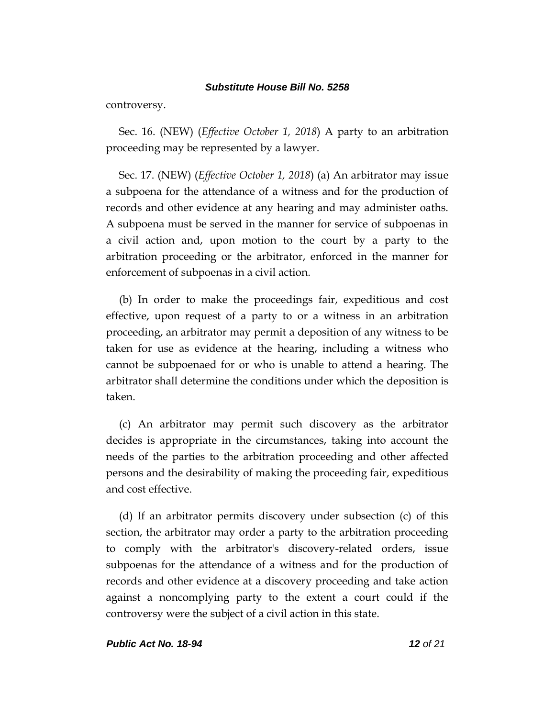controversy.

Sec. 16. (NEW) (*Effective October 1, 2018*) A party to an arbitration proceeding may be represented by a lawyer.

Sec. 17. (NEW) (*Effective October 1, 2018*) (a) An arbitrator may issue a subpoena for the attendance of a witness and for the production of records and other evidence at any hearing and may administer oaths. A subpoena must be served in the manner for service of subpoenas in a civil action and, upon motion to the court by a party to the arbitration proceeding or the arbitrator, enforced in the manner for enforcement of subpoenas in a civil action.

(b) In order to make the proceedings fair, expeditious and cost effective, upon request of a party to or a witness in an arbitration proceeding, an arbitrator may permit a deposition of any witness to be taken for use as evidence at the hearing, including a witness who cannot be subpoenaed for or who is unable to attend a hearing. The arbitrator shall determine the conditions under which the deposition is taken.

(c) An arbitrator may permit such discovery as the arbitrator decides is appropriate in the circumstances, taking into account the needs of the parties to the arbitration proceeding and other affected persons and the desirability of making the proceeding fair, expeditious and cost effective.

(d) If an arbitrator permits discovery under subsection (c) of this section, the arbitrator may order a party to the arbitration proceeding to comply with the arbitrator's discovery-related orders, issue subpoenas for the attendance of a witness and for the production of records and other evidence at a discovery proceeding and take action against a noncomplying party to the extent a court could if the controversy were the subject of a civil action in this state.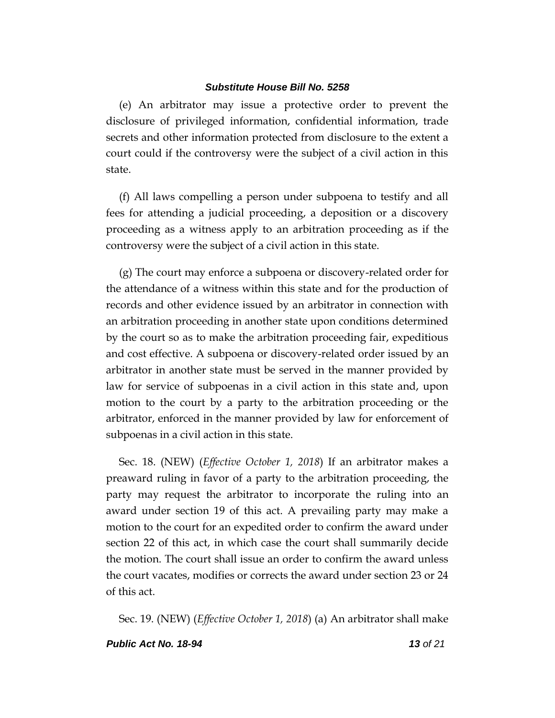(e) An arbitrator may issue a protective order to prevent the disclosure of privileged information, confidential information, trade secrets and other information protected from disclosure to the extent a court could if the controversy were the subject of a civil action in this state.

(f) All laws compelling a person under subpoena to testify and all fees for attending a judicial proceeding, a deposition or a discovery proceeding as a witness apply to an arbitration proceeding as if the controversy were the subject of a civil action in this state.

(g) The court may enforce a subpoena or discovery-related order for the attendance of a witness within this state and for the production of records and other evidence issued by an arbitrator in connection with an arbitration proceeding in another state upon conditions determined by the court so as to make the arbitration proceeding fair, expeditious and cost effective. A subpoena or discovery-related order issued by an arbitrator in another state must be served in the manner provided by law for service of subpoenas in a civil action in this state and, upon motion to the court by a party to the arbitration proceeding or the arbitrator, enforced in the manner provided by law for enforcement of subpoenas in a civil action in this state.

Sec. 18. (NEW) (*Effective October 1, 2018*) If an arbitrator makes a preaward ruling in favor of a party to the arbitration proceeding, the party may request the arbitrator to incorporate the ruling into an award under section 19 of this act. A prevailing party may make a motion to the court for an expedited order to confirm the award under section 22 of this act, in which case the court shall summarily decide the motion. The court shall issue an order to confirm the award unless the court vacates, modifies or corrects the award under section 23 or 24 of this act.

Sec. 19. (NEW) (*Effective October 1, 2018*) (a) An arbitrator shall make

*Public Act No. 18-94 13 of 21*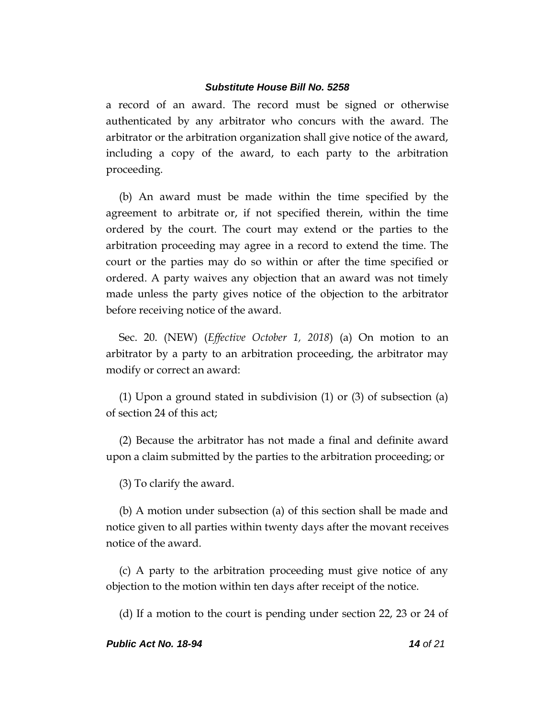a record of an award. The record must be signed or otherwise authenticated by any arbitrator who concurs with the award. The arbitrator or the arbitration organization shall give notice of the award, including a copy of the award, to each party to the arbitration proceeding.

(b) An award must be made within the time specified by the agreement to arbitrate or, if not specified therein, within the time ordered by the court. The court may extend or the parties to the arbitration proceeding may agree in a record to extend the time. The court or the parties may do so within or after the time specified or ordered. A party waives any objection that an award was not timely made unless the party gives notice of the objection to the arbitrator before receiving notice of the award.

Sec. 20. (NEW) (*Effective October 1, 2018*) (a) On motion to an arbitrator by a party to an arbitration proceeding, the arbitrator may modify or correct an award:

(1) Upon a ground stated in subdivision (1) or (3) of subsection (a) of section 24 of this act;

(2) Because the arbitrator has not made a final and definite award upon a claim submitted by the parties to the arbitration proceeding; or

(3) To clarify the award.

(b) A motion under subsection (a) of this section shall be made and notice given to all parties within twenty days after the movant receives notice of the award.

(c) A party to the arbitration proceeding must give notice of any objection to the motion within ten days after receipt of the notice.

(d) If a motion to the court is pending under section 22, 23 or 24 of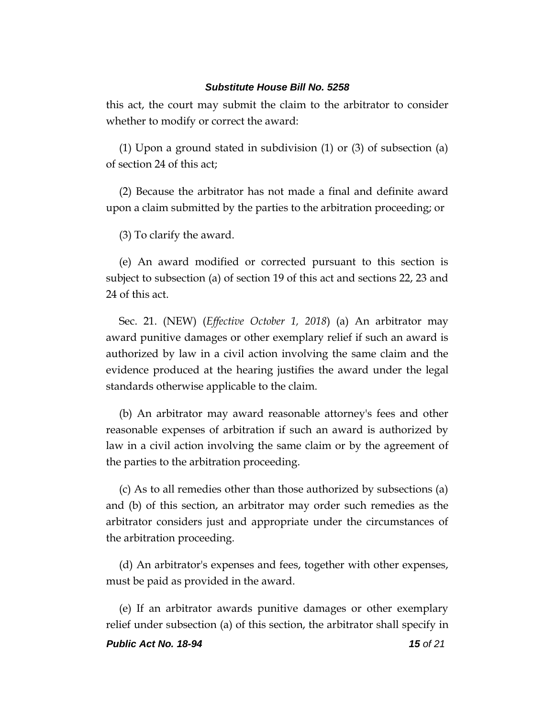this act, the court may submit the claim to the arbitrator to consider whether to modify or correct the award:

(1) Upon a ground stated in subdivision (1) or (3) of subsection (a) of section 24 of this act;

(2) Because the arbitrator has not made a final and definite award upon a claim submitted by the parties to the arbitration proceeding; or

(3) To clarify the award.

(e) An award modified or corrected pursuant to this section is subject to subsection (a) of section 19 of this act and sections 22, 23 and 24 of this act.

Sec. 21. (NEW) (*Effective October 1, 2018*) (a) An arbitrator may award punitive damages or other exemplary relief if such an award is authorized by law in a civil action involving the same claim and the evidence produced at the hearing justifies the award under the legal standards otherwise applicable to the claim.

(b) An arbitrator may award reasonable attorney's fees and other reasonable expenses of arbitration if such an award is authorized by law in a civil action involving the same claim or by the agreement of the parties to the arbitration proceeding.

(c) As to all remedies other than those authorized by subsections (a) and (b) of this section, an arbitrator may order such remedies as the arbitrator considers just and appropriate under the circumstances of the arbitration proceeding.

(d) An arbitrator's expenses and fees, together with other expenses, must be paid as provided in the award.

(e) If an arbitrator awards punitive damages or other exemplary relief under subsection (a) of this section, the arbitrator shall specify in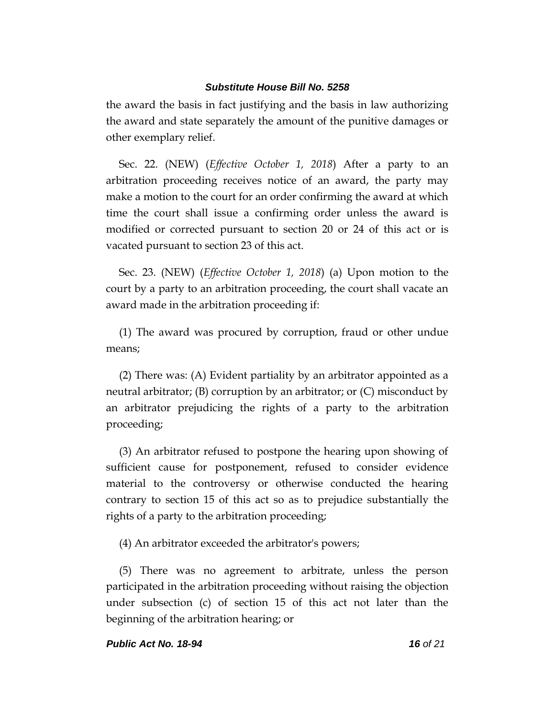the award the basis in fact justifying and the basis in law authorizing the award and state separately the amount of the punitive damages or other exemplary relief.

Sec. 22. (NEW) (*Effective October 1, 2018*) After a party to an arbitration proceeding receives notice of an award, the party may make a motion to the court for an order confirming the award at which time the court shall issue a confirming order unless the award is modified or corrected pursuant to section 20 or 24 of this act or is vacated pursuant to section 23 of this act.

Sec. 23. (NEW) (*Effective October 1, 2018*) (a) Upon motion to the court by a party to an arbitration proceeding, the court shall vacate an award made in the arbitration proceeding if:

(1) The award was procured by corruption, fraud or other undue means;

(2) There was: (A) Evident partiality by an arbitrator appointed as a neutral arbitrator;  $(B)$  corruption by an arbitrator; or  $(C)$  misconduct by an arbitrator prejudicing the rights of a party to the arbitration proceeding;

(3) An arbitrator refused to postpone the hearing upon showing of sufficient cause for postponement, refused to consider evidence material to the controversy or otherwise conducted the hearing contrary to section 15 of this act so as to prejudice substantially the rights of a party to the arbitration proceeding;

(4) An arbitrator exceeded the arbitrator's powers;

(5) There was no agreement to arbitrate, unless the person participated in the arbitration proceeding without raising the objection under subsection (c) of section 15 of this act not later than the beginning of the arbitration hearing; or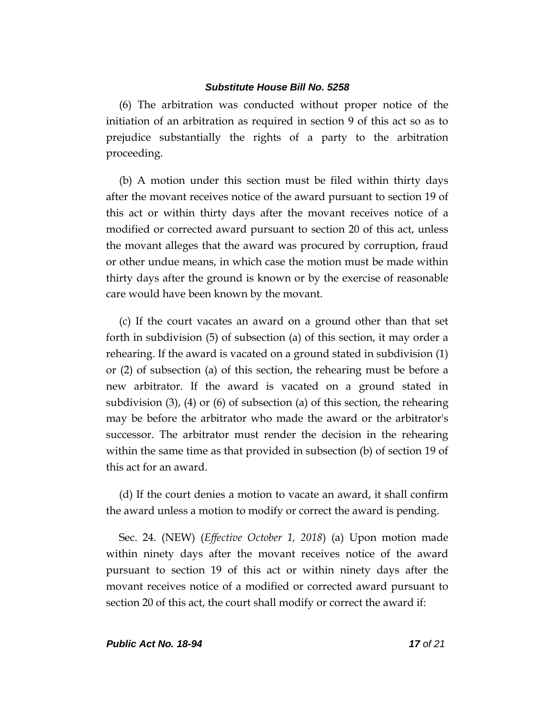(6) The arbitration was conducted without proper notice of the initiation of an arbitration as required in section 9 of this act so as to prejudice substantially the rights of a party to the arbitration proceeding.

(b) A motion under this section must be filed within thirty days after the movant receives notice of the award pursuant to section 19 of this act or within thirty days after the movant receives notice of a modified or corrected award pursuant to section 20 of this act, unless the movant alleges that the award was procured by corruption, fraud or other undue means, in which case the motion must be made within thirty days after the ground is known or by the exercise of reasonable care would have been known by the movant.

(c) If the court vacates an award on a ground other than that set forth in subdivision (5) of subsection (a) of this section, it may order a rehearing. If the award is vacated on a ground stated in subdivision (1) or (2) of subsection (a) of this section, the rehearing must be before a new arbitrator. If the award is vacated on a ground stated in subdivision (3), (4) or (6) of subsection (a) of this section, the rehearing may be before the arbitrator who made the award or the arbitrator's successor. The arbitrator must render the decision in the rehearing within the same time as that provided in subsection (b) of section 19 of this act for an award.

(d) If the court denies a motion to vacate an award, it shall confirm the award unless a motion to modify or correct the award is pending.

Sec. 24. (NEW) (*Effective October 1, 2018*) (a) Upon motion made within ninety days after the movant receives notice of the award pursuant to section 19 of this act or within ninety days after the movant receives notice of a modified or corrected award pursuant to section 20 of this act, the court shall modify or correct the award if: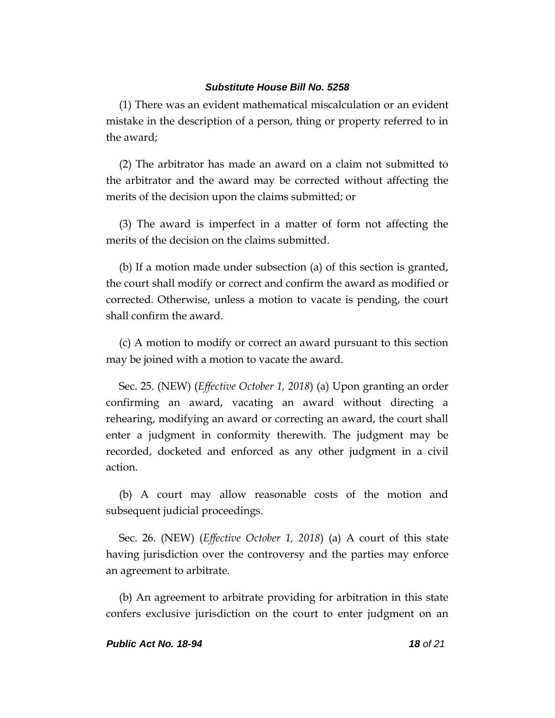(1) There was an evident mathematical miscalculation or an evident mistake in the description of a person, thing or property referred to in the award;

(2) The arbitrator has made an award on a claim not submitted to the arbitrator and the award may be corrected without affecting the merits of the decision upon the claims submitted; or

(3) The award is imperfect in a matter of form not affecting the merits of the decision on the claims submitted.

(b) If a motion made under subsection (a) of this section is granted, the court shall modify or correct and confirm the award as modified or corrected. Otherwise, unless a motion to vacate is pending, the court shall confirm the award.

(c) A motion to modify or correct an award pursuant to this section may be joined with a motion to vacate the award.

Sec. 25. (NEW) (*Effective October 1, 2018*) (a) Upon granting an order confirming an award, vacating an award without directing a rehearing, modifying an award or correcting an award, the court shall enter a judgment in conformity therewith. The judgment may be recorded, docketed and enforced as any other judgment in a civil action.

(b) A court may allow reasonable costs of the motion and subsequent judicial proceedings.

Sec. 26. (NEW) (*Effective October 1, 2018*) (a) A court of this state having jurisdiction over the controversy and the parties may enforce an agreement to arbitrate.

(b) An agreement to arbitrate providing for arbitration in this state confers exclusive jurisdiction on the court to enter judgment on an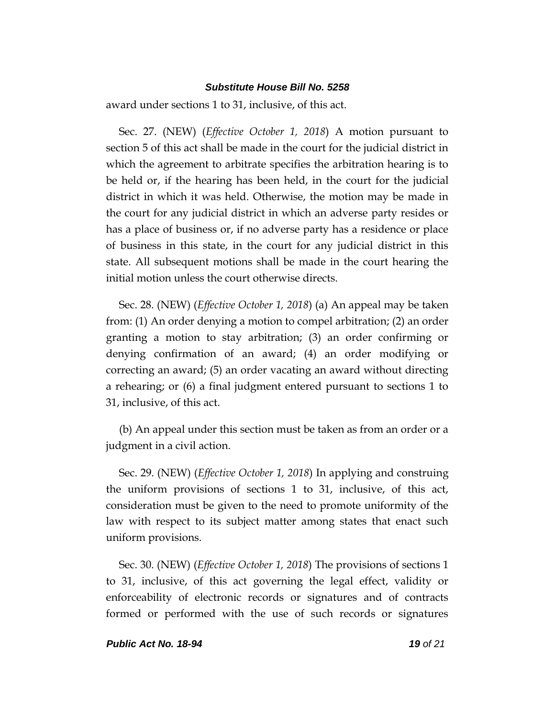award under sections 1 to 31, inclusive, of this act.

Sec. 27. (NEW) (*Effective October 1, 2018*) A motion pursuant to section 5 of this act shall be made in the court for the judicial district in which the agreement to arbitrate specifies the arbitration hearing is to be held or, if the hearing has been held, in the court for the judicial district in which it was held. Otherwise, the motion may be made in the court for any judicial district in which an adverse party resides or has a place of business or, if no adverse party has a residence or place of business in this state, in the court for any judicial district in this state. All subsequent motions shall be made in the court hearing the initial motion unless the court otherwise directs.

Sec. 28. (NEW) (*Effective October 1, 2018*) (a) An appeal may be taken from: (1) An order denying a motion to compel arbitration; (2) an order granting a motion to stay arbitration; (3) an order confirming or denying confirmation of an award; (4) an order modifying or correcting an award; (5) an order vacating an award without directing a rehearing; or (6) a final judgment entered pursuant to sections 1 to 31, inclusive, of this act.

(b) An appeal under this section must be taken as from an order or a judgment in a civil action.

Sec. 29. (NEW) (*Effective October 1, 2018*) In applying and construing the uniform provisions of sections 1 to 31, inclusive, of this act, consideration must be given to the need to promote uniformity of the law with respect to its subject matter among states that enact such uniform provisions.

Sec. 30. (NEW) (*Effective October 1, 2018*) The provisions of sections 1 to 31, inclusive, of this act governing the legal effect, validity or enforceability of electronic records or signatures and of contracts formed or performed with the use of such records or signatures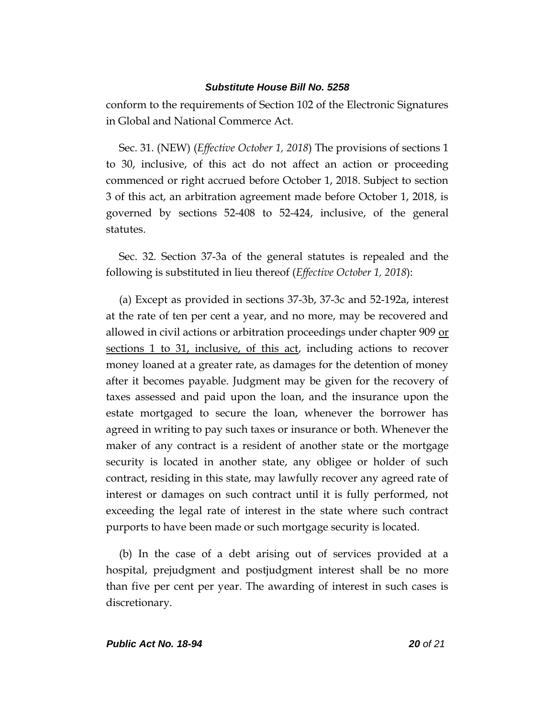conform to the requirements of Section 102 of the Electronic Signatures in Global and National Commerce Act.

Sec. 31. (NEW) (*Effective October 1, 2018*) The provisions of sections 1 to 30, inclusive, of this act do not affect an action or proceeding commenced or right accrued before October 1, 2018. Subject to section 3 of this act, an arbitration agreement made before October 1, 2018, is governed by sections 52-408 to 52-424, inclusive, of the general statutes.

Sec. 32. Section 37-3a of the general statutes is repealed and the following is substituted in lieu thereof (*Effective October 1, 2018*):

(a) Except as provided in sections 37-3b, 37-3c and 52-192a, interest at the rate of ten per cent a year, and no more, may be recovered and allowed in civil actions or arbitration proceedings under chapter 909 <u>or</u> sections 1 to 31, inclusive, of this act, including actions to recover money loaned at a greater rate, as damages for the detention of money after it becomes payable. Judgment may be given for the recovery of taxes assessed and paid upon the loan, and the insurance upon the estate mortgaged to secure the loan, whenever the borrower has agreed in writing to pay such taxes or insurance or both. Whenever the maker of any contract is a resident of another state or the mortgage security is located in another state, any obligee or holder of such contract, residing in this state, may lawfully recover any agreed rate of interest or damages on such contract until it is fully performed, not exceeding the legal rate of interest in the state where such contract purports to have been made or such mortgage security is located.

(b) In the case of a debt arising out of services provided at a hospital, prejudgment and postjudgment interest shall be no more than five per cent per year. The awarding of interest in such cases is discretionary.